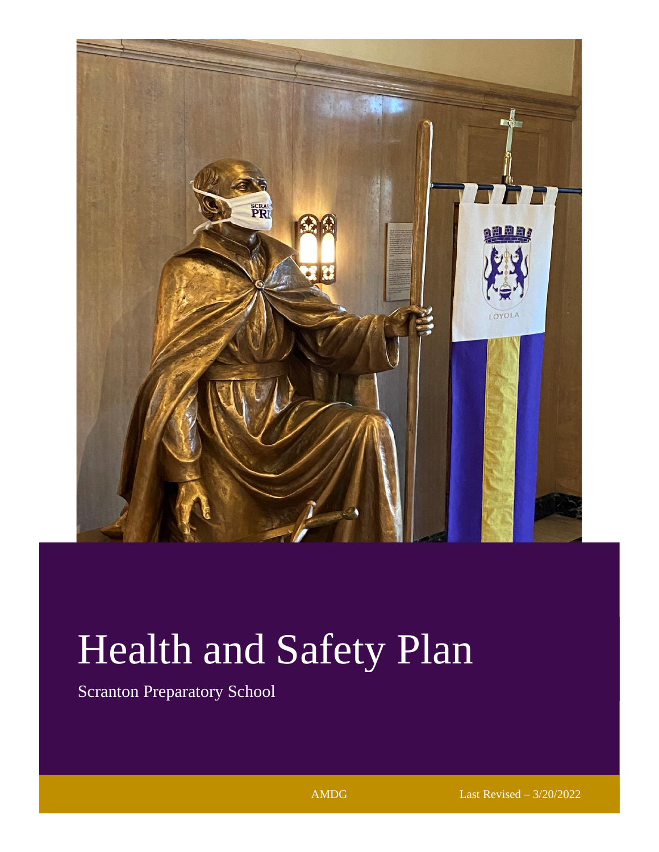

# Health and Safety Plan

Scranton Preparatory School

AMDG Last Revised – 3/20/2022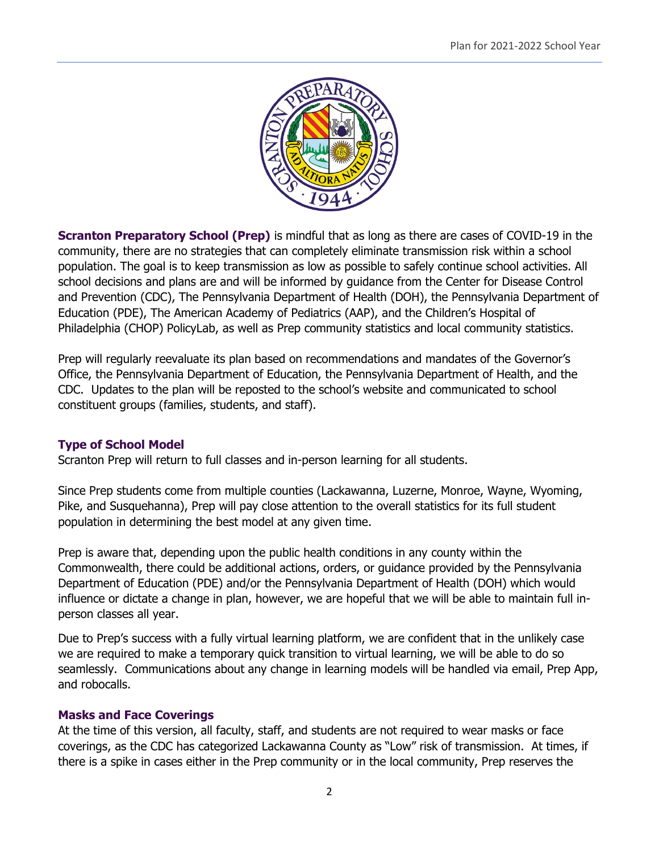

**Scranton Preparatory School (Prep)** is mindful that as long as there are cases of COVID-19 in the community, there are no strategies that can completely eliminate transmission risk within a school population. The goal is to keep transmission as low as possible to safely continue school activities. All school decisions and plans are and will be informed by guidance from the Center for Disease Control and Prevention (CDC), The Pennsylvania Department of Health (DOH), the Pennsylvania Department of Education (PDE), The American Academy of Pediatrics (AAP), and the Children's Hospital of Philadelphia (CHOP) PolicyLab, as well as Prep community statistics and local community statistics.

Prep will regularly reevaluate its plan based on recommendations and mandates of the Governor's Office, the Pennsylvania Department of Education, the Pennsylvania Department of Health, and the CDC. Updates to the plan will be reposted to the school's website and communicated to school constituent groups (families, students, and staff).

# **Type of School Model**

Scranton Prep will return to full classes and in-person learning for all students.

Since Prep students come from multiple counties (Lackawanna, Luzerne, Monroe, Wayne, Wyoming, Pike, and Susquehanna), Prep will pay close attention to the overall statistics for its full student population in determining the best model at any given time.

Prep is aware that, depending upon the public health conditions in any county within the Commonwealth, there could be additional actions, orders, or guidance provided by the Pennsylvania Department of Education (PDE) and/or the Pennsylvania Department of Health (DOH) which would influence or dictate a change in plan, however, we are hopeful that we will be able to maintain full inperson classes all year.

Due to Prep's success with a fully virtual learning platform, we are confident that in the unlikely case we are required to make a temporary quick transition to virtual learning, we will be able to do so seamlessly. Communications about any change in learning models will be handled via email, Prep App, and robocalls.

# **Masks and Face Coverings**

At the time of this version, all faculty, staff, and students are not required to wear masks or face coverings, as the CDC has categorized Lackawanna County as "Low" risk of transmission. At times, if there is a spike in cases either in the Prep community or in the local community, Prep reserves the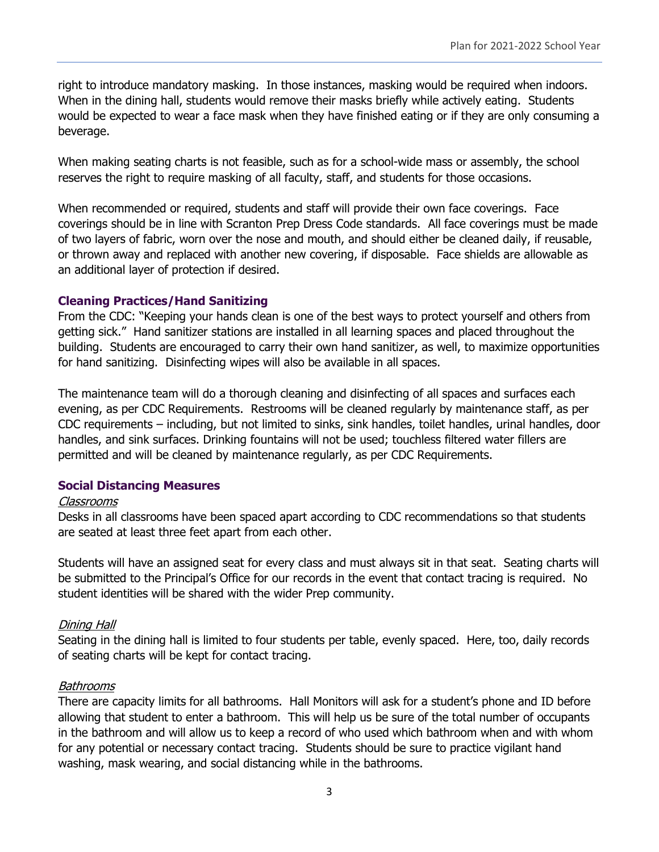right to introduce mandatory masking. In those instances, masking would be required when indoors. When in the dining hall, students would remove their masks briefly while actively eating. Students would be expected to wear a face mask when they have finished eating or if they are only consuming a beverage.

When making seating charts is not feasible, such as for a school-wide mass or assembly, the school reserves the right to require masking of all faculty, staff, and students for those occasions.

When recommended or required, students and staff will provide their own face coverings. Face coverings should be in line with Scranton Prep Dress Code standards. All face coverings must be made of two layers of fabric, worn over the nose and mouth, and should either be cleaned daily, if reusable, or thrown away and replaced with another new covering, if disposable. Face shields are allowable as an additional layer of protection if desired.

#### **Cleaning Practices/Hand Sanitizing**

From the CDC: "Keeping your hands clean is one of the best ways to protect yourself and others from getting sick." Hand sanitizer stations are installed in all learning spaces and placed throughout the building. Students are encouraged to carry their own hand sanitizer, as well, to maximize opportunities for hand sanitizing. Disinfecting wipes will also be available in all spaces.

The maintenance team will do a thorough cleaning and disinfecting of all spaces and surfaces each evening, as per CDC Requirements. Restrooms will be cleaned regularly by maintenance staff, as per CDC requirements – including, but not limited to sinks, sink handles, toilet handles, urinal handles, door handles, and sink surfaces. Drinking fountains will not be used; touchless filtered water fillers are permitted and will be cleaned by maintenance regularly, as per CDC Requirements.

# **Social Distancing Measures**

#### Classrooms

Desks in all classrooms have been spaced apart according to CDC recommendations so that students are seated at least three feet apart from each other.

Students will have an assigned seat for every class and must always sit in that seat. Seating charts will be submitted to the Principal's Office for our records in the event that contact tracing is required. No student identities will be shared with the wider Prep community.

#### Dining Hall

Seating in the dining hall is limited to four students per table, evenly spaced. Here, too, daily records of seating charts will be kept for contact tracing.

#### Bathrooms

There are capacity limits for all bathrooms. Hall Monitors will ask for a student's phone and ID before allowing that student to enter a bathroom. This will help us be sure of the total number of occupants in the bathroom and will allow us to keep a record of who used which bathroom when and with whom for any potential or necessary contact tracing. Students should be sure to practice vigilant hand washing, mask wearing, and social distancing while in the bathrooms.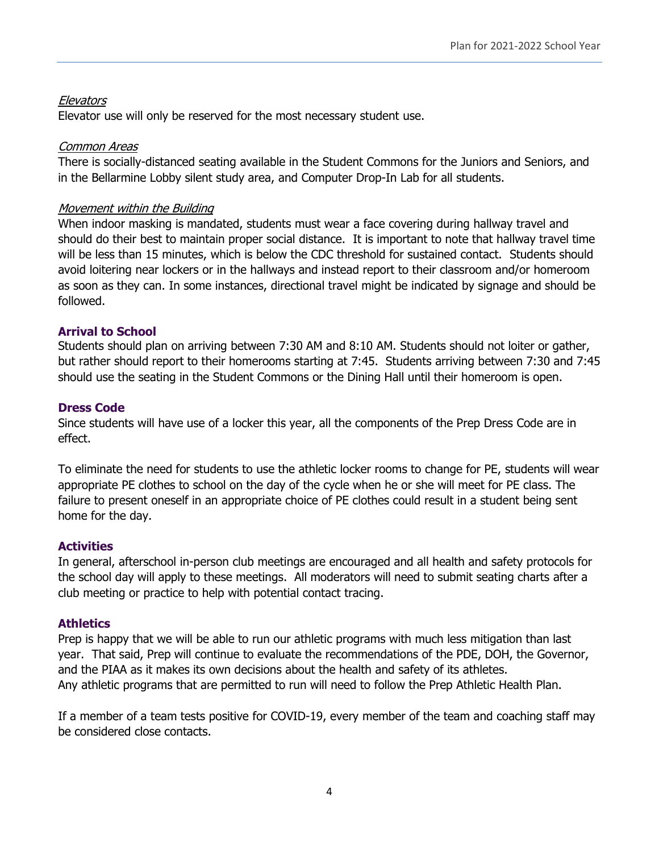# **Elevators**

Elevator use will only be reserved for the most necessary student use.

### Common Areas

There is socially-distanced seating available in the Student Commons for the Juniors and Seniors, and in the Bellarmine Lobby silent study area, and Computer Drop-In Lab for all students.

### Movement within the Building

When indoor masking is mandated, students must wear a face covering during hallway travel and should do their best to maintain proper social distance. It is important to note that hallway travel time will be less than 15 minutes, which is below the CDC threshold for sustained contact. Students should avoid loitering near lockers or in the hallways and instead report to their classroom and/or homeroom as soon as they can. In some instances, directional travel might be indicated by signage and should be followed.

#### **Arrival to School**

Students should plan on arriving between 7:30 AM and 8:10 AM. Students should not loiter or gather, but rather should report to their homerooms starting at 7:45. Students arriving between 7:30 and 7:45 should use the seating in the Student Commons or the Dining Hall until their homeroom is open.

#### **Dress Code**

Since students will have use of a locker this year, all the components of the Prep Dress Code are in effect.

To eliminate the need for students to use the athletic locker rooms to change for PE, students will wear appropriate PE clothes to school on the day of the cycle when he or she will meet for PE class. The failure to present oneself in an appropriate choice of PE clothes could result in a student being sent home for the day.

# **Activities**

In general, afterschool in-person club meetings are encouraged and all health and safety protocols for the school day will apply to these meetings. All moderators will need to submit seating charts after a club meeting or practice to help with potential contact tracing.

#### **Athletics**

Prep is happy that we will be able to run our athletic programs with much less mitigation than last year. That said, Prep will continue to evaluate the recommendations of the PDE, DOH, the Governor, and the PIAA as it makes its own decisions about the health and safety of its athletes. Any athletic programs that are permitted to run will need to follow the Prep Athletic Health Plan.

If a member of a team tests positive for COVID-19, every member of the team and coaching staff may be considered close contacts.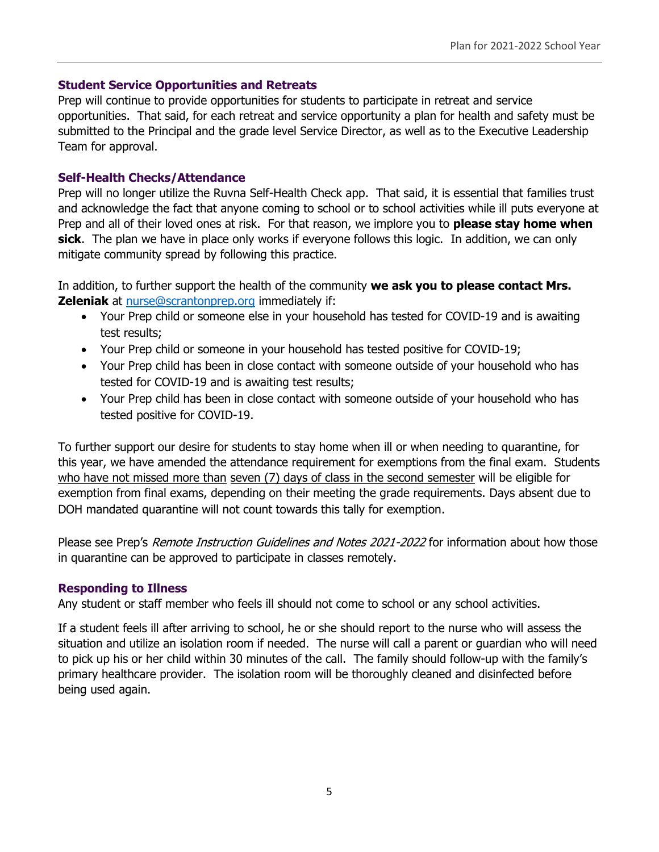#### **Student Service Opportunities and Retreats**

Prep will continue to provide opportunities for students to participate in retreat and service opportunities. That said, for each retreat and service opportunity a plan for health and safety must be submitted to the Principal and the grade level Service Director, as well as to the Executive Leadership Team for approval.

#### **Self-Health Checks/Attendance**

Prep will no longer utilize the Ruvna Self-Health Check app. That said, it is essential that families trust and acknowledge the fact that anyone coming to school or to school activities while ill puts everyone at Prep and all of their loved ones at risk. For that reason, we implore you to **please stay home when sick**. The plan we have in place only works if everyone follows this logic. In addition, we can only mitigate community spread by following this practice.

In addition, to further support the health of the community **we ask you to please contact Mrs. Zeleniak** at [nurse@scrantonprep.org](mailto:nurse@scrantonprep.org) immediately if:

- Your Prep child or someone else in your household has tested for COVID-19 and is awaiting test results;
- Your Prep child or someone in your household has tested positive for COVID-19;
- Your Prep child has been in close contact with someone outside of your household who has tested for COVID-19 and is awaiting test results;
- Your Prep child has been in close contact with someone outside of your household who has tested positive for COVID-19.

To further support our desire for students to stay home when ill or when needing to quarantine, for this year, we have amended the attendance requirement for exemptions from the final exam. Students who have not missed more than seven (7) days of class in the second semester will be eligible for exemption from final exams, depending on their meeting the grade requirements. Days absent due to DOH mandated quarantine will not count towards this tally for exemption.

Please see Prep's Remote Instruction Guidelines and Notes 2021-2022 for information about how those in quarantine can be approved to participate in classes remotely.

# **Responding to Illness**

Any student or staff member who feels ill should not come to school or any school activities.

If a student feels ill after arriving to school, he or she should report to the nurse who will assess the situation and utilize an isolation room if needed. The nurse will call a parent or guardian who will need to pick up his or her child within 30 minutes of the call. The family should follow-up with the family's primary healthcare provider. The isolation room will be thoroughly cleaned and disinfected before being used again.